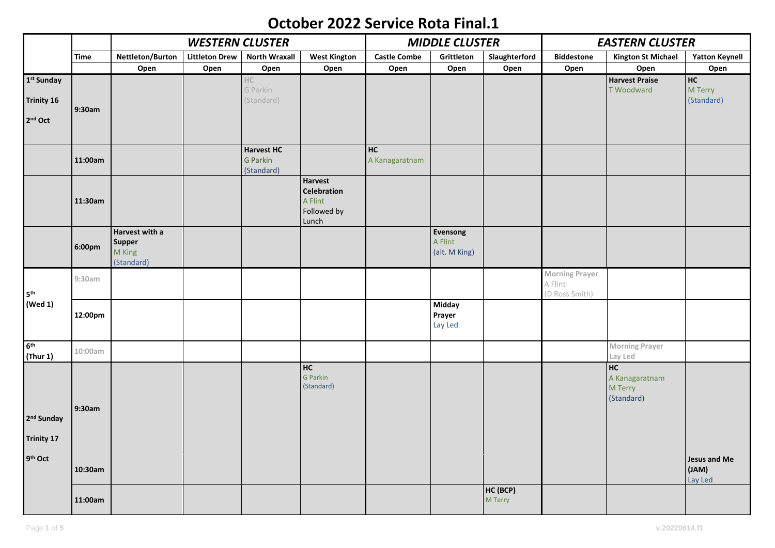## **October 2022 Service Rota Final.1**

|                                                                    |         | <b>WESTERN CLUSTER</b>                           |                       |                                             |                                                                  | <b>MIDDLE CLUSTER</b> |                                      |                     | <b>EASTERN CLUSTER</b>                      |                                               |                                  |
|--------------------------------------------------------------------|---------|--------------------------------------------------|-----------------------|---------------------------------------------|------------------------------------------------------------------|-----------------------|--------------------------------------|---------------------|---------------------------------------------|-----------------------------------------------|----------------------------------|
|                                                                    | Time    | Nettleton/Burton                                 | <b>Littleton Drew</b> | <b>North Wraxall</b>                        | <b>West Kington</b>                                              | <b>Castle Combe</b>   | Grittleton                           | Slaughterford       | <b>Biddestone</b>                           | <b>Kington St Michael</b>                     | <b>Yatton Keynell</b>            |
|                                                                    |         | Open                                             | Open                  | Open                                        | Open                                                             | Open                  | Open                                 | Open                | Open                                        | Open                                          | Open                             |
| 1st Sunday<br><b>Trinity 16</b><br>2 <sup>nd</sup> Oct             | 9:30am  |                                                  |                       | $\mathbb {HC}$<br>G Parkin<br>(Standard)    |                                                                  |                       |                                      |                     |                                             | <b>Harvest Praise</b><br><b>T</b> Woodward    | HC<br>M Terry<br>(Standard)      |
|                                                                    | 11:00am |                                                  |                       | <b>Harvest HC</b><br>G Parkin<br>(Standard) |                                                                  | HC<br>A Kanagaratnam  |                                      |                     |                                             |                                               |                                  |
|                                                                    | 11:30am |                                                  |                       |                                             | <b>Harvest</b><br>Celebration<br>A Flint<br>Followed by<br>Lunch |                       |                                      |                     |                                             |                                               |                                  |
|                                                                    | 6:00pm  | Harvest with a<br>Supper<br>M King<br>(Standard) |                       |                                             |                                                                  |                       | Evensong<br>A Flint<br>(alt. M King) |                     |                                             |                                               |                                  |
| 5 <sup>th</sup><br>(Wed 1)                                         | 9:30am  |                                                  |                       |                                             |                                                                  |                       |                                      |                     | Morning Prayer<br>A Flint<br>(D Ross Smith) |                                               |                                  |
|                                                                    | 12:00pm |                                                  |                       |                                             |                                                                  |                       | Midday<br>Prayer<br>Lay Led          |                     |                                             |                                               |                                  |
| 6 <sup>th</sup><br>(Thur 1)                                        | 10:00am |                                                  |                       |                                             |                                                                  |                       |                                      |                     |                                             | <b>Morning Prayer</b><br>Lay Led              |                                  |
| 2 <sup>nd</sup> Sunday<br><b>Trinity 17</b><br>9 <sup>th</sup> Oct | 9:30am  |                                                  |                       |                                             | HC<br>G Parkin<br>(Standard)                                     |                       |                                      |                     |                                             | HC<br>A Kanagaratnam<br>M Terry<br>(Standard) |                                  |
|                                                                    | 10:30am |                                                  |                       |                                             |                                                                  |                       |                                      |                     |                                             |                                               | Jesus and Me<br>(JAM)<br>Lay Led |
|                                                                    | 11:00am |                                                  |                       |                                             |                                                                  |                       |                                      | HC (BCP)<br>M Terry |                                             |                                               |                                  |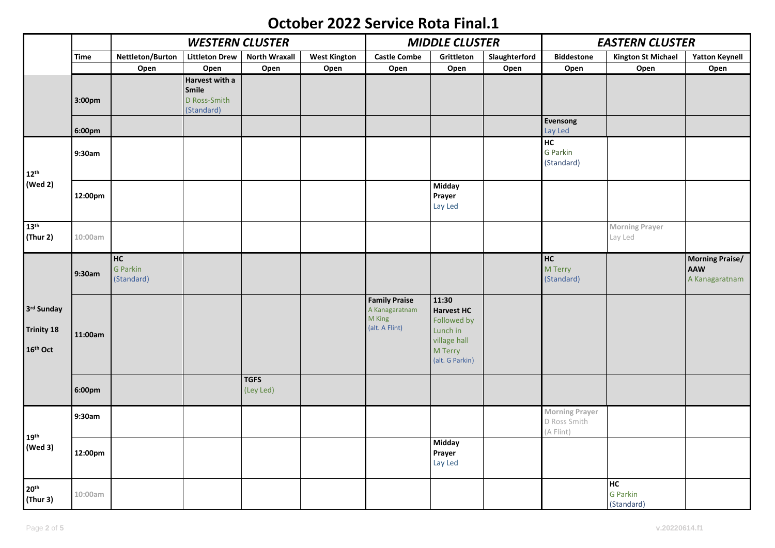## **October 2022 Service Rota Final.1**

|                                                  |             | <b>WESTERN CLUSTER</b>       |                                                       |                          |                     | <b>MIDDLE CLUSTER</b>                                              |                                                                                                     |               | <b>EASTERN CLUSTER</b>                             |                                     |                                                 |
|--------------------------------------------------|-------------|------------------------------|-------------------------------------------------------|--------------------------|---------------------|--------------------------------------------------------------------|-----------------------------------------------------------------------------------------------------|---------------|----------------------------------------------------|-------------------------------------|-------------------------------------------------|
|                                                  | <b>Time</b> | Nettleton/Burton             | <b>Littleton Drew</b>                                 | <b>North Wraxall</b>     | <b>West Kington</b> | <b>Castle Combe</b>                                                | Grittleton                                                                                          | Slaughterford | <b>Biddestone</b>                                  | <b>Kington St Michael</b>           | <b>Yatton Keynell</b>                           |
|                                                  |             | Open                         | Open                                                  | Open                     | Open                | Open                                                               | Open                                                                                                | Open          | Open                                               | Open                                | Open                                            |
|                                                  | 3:00pm      |                              | Harvest with a<br>Smile<br>D Ross-Smith<br>(Standard) |                          |                     |                                                                    |                                                                                                     |               |                                                    |                                     |                                                 |
|                                                  | 6:00pm      |                              |                                                       |                          |                     |                                                                    |                                                                                                     |               | Evensong<br>Lay Led                                |                                     |                                                 |
| $12^{\text{th}}$<br>(Wed 2)                      | 9:30am      |                              |                                                       |                          |                     |                                                                    |                                                                                                     |               | H <sub>C</sub><br>G Parkin<br>(Standard)           |                                     |                                                 |
|                                                  | 12:00pm     |                              |                                                       |                          |                     |                                                                    | <b>Midday</b><br>Prayer<br>Lay Led                                                                  |               |                                                    |                                     |                                                 |
| 13 <sup>th</sup><br>(Thur 2)                     | 10:00am     |                              |                                                       |                          |                     |                                                                    |                                                                                                     |               |                                                    | <b>Morning Prayer</b><br>Lay Led    |                                                 |
|                                                  | 9:30am      | HC<br>G Parkin<br>(Standard) |                                                       |                          |                     |                                                                    |                                                                                                     |               | H <sub>C</sub><br>M Terry<br>(Standard)            |                                     | <b>Morning Praise/</b><br>AAW<br>A Kanagaratnam |
| 3rd Sunday<br>Trinity 18<br>16 <sup>th</sup> Oct | 11:00am     |                              |                                                       |                          |                     | <b>Family Praise</b><br>A Kanagaratnam<br>M King<br>(alt. A Flint) | 11:30<br><b>Harvest HC</b><br>Followed by<br>Lunch in<br>village hall<br>M Terry<br>(alt. G Parkin) |               |                                                    |                                     |                                                 |
|                                                  | 6:00pm      |                              |                                                       | <b>TGFS</b><br>(Ley Led) |                     |                                                                    |                                                                                                     |               |                                                    |                                     |                                                 |
| 19 <sup>th</sup><br>(Wed 3)                      | 9:30am      |                              |                                                       |                          |                     |                                                                    |                                                                                                     |               | <b>Morning Prayer</b><br>D Ross Smith<br>(A Flint) |                                     |                                                 |
|                                                  | 12:00pm     |                              |                                                       |                          |                     |                                                                    | <b>Midday</b><br>Prayer<br>Lay Led                                                                  |               |                                                    |                                     |                                                 |
| 20 <sup>th</sup><br>(Thur 3)                     | 10:00am     |                              |                                                       |                          |                     |                                                                    |                                                                                                     |               |                                                    | HC<br><b>G</b> Parkin<br>(Standard) |                                                 |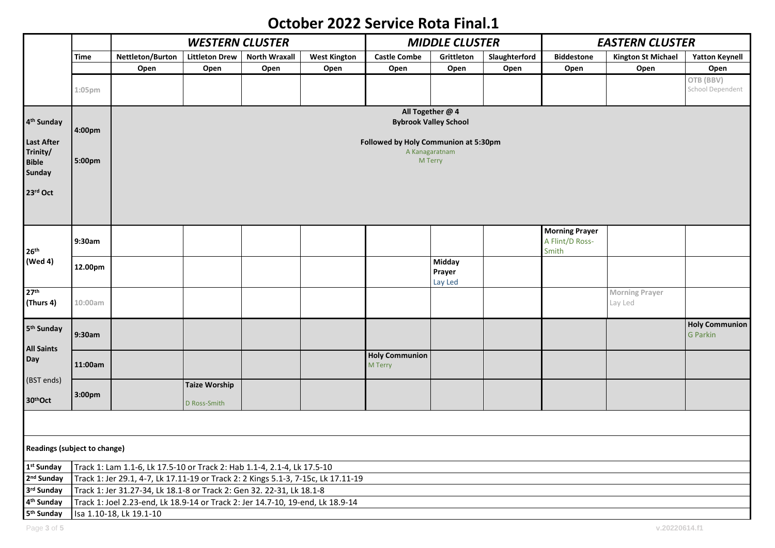## **October 2022 Service Rota Final.1**

|                              |                                      |                                                                                   |                       | <b>MIDDLE CLUSTER</b> |                           |                       | <b>EASTERN CLUSTER</b> |               |                       |                           |                               |  |
|------------------------------|--------------------------------------|-----------------------------------------------------------------------------------|-----------------------|-----------------------|---------------------------|-----------------------|------------------------|---------------|-----------------------|---------------------------|-------------------------------|--|
|                              | Time                                 | Nettleton/Burton                                                                  | <b>Littleton Drew</b> | <b>North Wraxall</b>  | <b>West Kington</b>       | <b>Castle Combe</b>   | Grittleton             | Slaughterford | <b>Biddestone</b>     | <b>Kington St Michael</b> | <b>Yatton Keynell</b>         |  |
|                              |                                      | Open                                                                              | Open                  | Open                  | Open                      | Open                  | Open                   | Open          | Open                  | Open                      | Open                          |  |
|                              | 1:05pm                               |                                                                                   |                       |                       |                           |                       |                        |               |                       |                           | OTB (BBV)<br>School Dependent |  |
|                              |                                      |                                                                                   |                       |                       |                           |                       | All Together @ 4       |               |                       |                           |                               |  |
| 4 <sup>th</sup> Sunday       | 4:00pm                               | <b>Bybrook Valley School</b>                                                      |                       |                       |                           |                       |                        |               |                       |                           |                               |  |
| Last After                   | Followed by Holy Communion at 5:30pm |                                                                                   |                       |                       |                           |                       |                        |               |                       |                           |                               |  |
| Trinity/<br><b>Bible</b>     | 5:00pm                               |                                                                                   |                       |                       | A Kanagaratnam<br>M Terry |                       |                        |               |                       |                           |                               |  |
| Sunday                       |                                      |                                                                                   |                       |                       |                           |                       |                        |               |                       |                           |                               |  |
|                              |                                      |                                                                                   |                       |                       |                           |                       |                        |               |                       |                           |                               |  |
| 23rd Oct                     |                                      |                                                                                   |                       |                       |                           |                       |                        |               |                       |                           |                               |  |
|                              |                                      |                                                                                   |                       |                       |                           |                       |                        |               |                       |                           |                               |  |
|                              |                                      |                                                                                   |                       |                       |                           |                       |                        |               | <b>Morning Prayer</b> |                           |                               |  |
|                              | 9:30am                               |                                                                                   |                       |                       |                           |                       |                        |               | A Flint/D Ross-       |                           |                               |  |
| 26 <sup>th</sup>             |                                      |                                                                                   |                       |                       |                           |                       |                        |               | Smith                 |                           |                               |  |
| (Wed 4)                      | 12.00pm                              |                                                                                   |                       |                       |                           |                       | Midday                 |               |                       |                           |                               |  |
|                              |                                      |                                                                                   |                       |                       |                           |                       | Prayer<br>Lay Led      |               |                       |                           |                               |  |
| 27 <sup>th</sup>             |                                      |                                                                                   |                       |                       |                           |                       |                        |               |                       | <b>Morning Prayer</b>     |                               |  |
| (Thurs 4)                    | 10:00am                              |                                                                                   |                       |                       |                           |                       |                        |               |                       | Lay Led                   |                               |  |
|                              |                                      |                                                                                   |                       |                       |                           |                       |                        |               |                       |                           |                               |  |
| 5 <sup>th</sup> Sunday       |                                      |                                                                                   |                       |                       |                           |                       |                        |               |                       |                           | <b>Holy Communion</b>         |  |
|                              | 9:30am                               |                                                                                   |                       |                       |                           |                       |                        |               |                       |                           | <b>G</b> Parkin               |  |
| <b>All Saints</b><br>Day     |                                      |                                                                                   |                       |                       |                           | <b>Holy Communion</b> |                        |               |                       |                           |                               |  |
|                              | 11:00am                              |                                                                                   |                       |                       |                           | M Terry               |                        |               |                       |                           |                               |  |
| (BST ends)                   |                                      |                                                                                   | <b>Taize Worship</b>  |                       |                           |                       |                        |               |                       |                           |                               |  |
| 30thOct                      | 3:00pm                               |                                                                                   |                       |                       |                           |                       |                        |               |                       |                           |                               |  |
|                              |                                      |                                                                                   | D Ross-Smith          |                       |                           |                       |                        |               |                       |                           |                               |  |
|                              |                                      |                                                                                   |                       |                       |                           |                       |                        |               |                       |                           |                               |  |
| Readings (subject to change) |                                      |                                                                                   |                       |                       |                           |                       |                        |               |                       |                           |                               |  |
| 1st Sunday                   |                                      | Track 1: Lam 1.1-6, Lk 17.5-10 or Track 2: Hab 1.1-4, 2.1-4, Lk 17.5-10           |                       |                       |                           |                       |                        |               |                       |                           |                               |  |
| 2 <sup>nd</sup> Sunday       |                                      | Track 1: Jer 29.1, 4-7, Lk 17.11-19 or Track 2: 2 Kings 5.1-3, 7-15c, Lk 17.11-19 |                       |                       |                           |                       |                        |               |                       |                           |                               |  |
| 3rd Sunday                   |                                      | Track 1: Jer 31.27-34, Lk 18.1-8 or Track 2: Gen 32. 22-31, Lk 18.1-8             |                       |                       |                           |                       |                        |               |                       |                           |                               |  |
| 4 <sup>th</sup> Sunday       |                                      | Track 1: Joel 2.23-end, Lk 18.9-14 or Track 2: Jer 14.7-10, 19-end, Lk 18.9-14    |                       |                       |                           |                       |                        |               |                       |                           |                               |  |
| 5 <sup>th</sup> Sunday       |                                      | Isa 1.10-18, Lk 19.1-10                                                           |                       |                       |                           |                       |                        |               |                       |                           |                               |  |